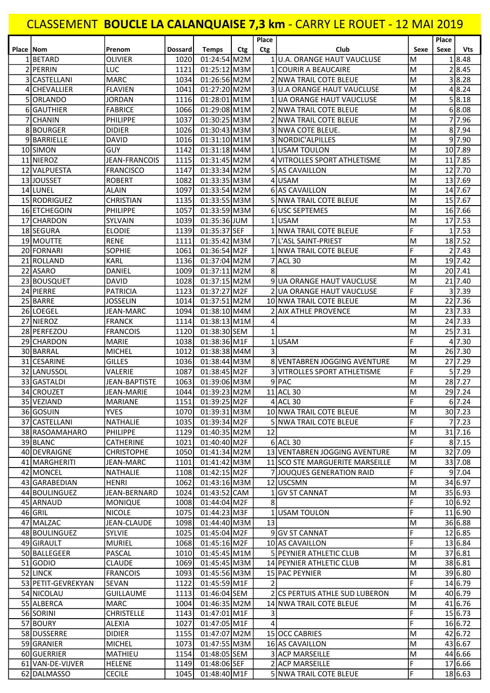## CLASSEMENT BOUCLE LA CALANQUAISE 7,3 km - CARRY LE ROUET - 12 MAI 2019

| Place   Nom |                    | Prenom               | <b>Dossard</b> | <b>Temps</b>      | <b>Ctg</b> | Place<br>Ctg | Club                            | Sexe           | Place<br>Sexe | <b>Vts</b>        |
|-------------|--------------------|----------------------|----------------|-------------------|------------|--------------|---------------------------------|----------------|---------------|-------------------|
|             | 1BETARD            | <b>OLIVIER</b>       | 1020           | 01:24:54 M2M      |            |              | 1U.A. ORANGE HAUT VAUCLUSE      | M              |               | 1 8.48            |
|             | 2 PERRIN           | LUC                  | 1121           | 01:25:12 M3M      |            |              | 1 COURIR A BEAUCAIRE            | M              |               | 28.45             |
|             | 3 CASTELLANI       | <b>MARC</b>          | 1034           | $01:26:56$ M2M    |            |              | 2 NWA TRAIL COTE BLEUE          | M              |               | 3 8.28            |
|             | 4 CHEVALLIER       | <b>FLAVIEN</b>       | 1041           | 01:27:20 M2M      |            |              | 3 U.A ORANGE HAUT VAUCLUSE      | M              |               | 4 8.24            |
|             | 5 ORLANDO          | <b>JORDAN</b>        | 1116           | 01:28:01 M1M      |            |              | 1 JUA ORANGE HAUT VAUCLUSE      | M              |               | 5 8.18            |
|             | 6 GAUTHIER         | <b>FABRICE</b>       | 1066           | 01:29:08 M1M      |            |              | 2 NWA TRAIL COTE BLEUE          | M              |               | 6 8.08            |
|             | 7 CHANIN           | <b>PHILIPPE</b>      | 1037           | 01:30:25 M3M      |            |              | 2 NWA TRAIL COTE BLEUE          | M              |               | 77.96             |
|             | 8BOURGER           | <b>DIDIER</b>        | 1026           | $01:30:43$ M3M    |            |              | 3 NWA COTE BLEUE.               | M              |               | 8 7.94            |
|             | 9BARRIELLE         | <b>DAVID</b>         | 1016           | $01:31:10$ M1M    |            |              | 3 NORDIC'ALPILLES               | M              |               | 9 7.90            |
|             | 10 SIMON           | <b>GUY</b>           | 1142           | 01:31:18 M4M      |            |              | 1 IUSAM TOULON                  | M              |               | 10 7.89           |
|             | 11 NIEROZ          | <b>JEAN-FRANCOIS</b> | 1115           | 01:31:45 M2M      |            |              | 4 VITROLLES SPORT ATHLETISME    | M              |               | 11 7.85           |
|             | 12 VALPUESTA       | <b>FRANCISCO</b>     | 1147           | 01:33:34 M2M      |            |              | 5 AS CAVAILLON                  | M              |               | 12 7.70           |
|             | 13 JOUSSET         | <b>ROBERT</b>        | 1082           | 01:33:35 M3M      |            |              | 4 USAM                          | M              |               | 13 7.69           |
|             | 14 LUNEL           | <b>ALAIN</b>         | 1097           | 01:33:54 M2M      |            |              | 6 AS CAVAILLON                  | M              |               | 14 7.67           |
|             | 15 RODRIGUEZ       | <b>CHRISTIAN</b>     | 1135           | 01:33:55 M3M      |            |              | 5 NWA TRAIL COTE BLEUE          | M              |               | 15 7.67           |
|             | 16 ETCHEGOIN       | PHILIPPE             | 1057           | 01:33:59 M3M      |            |              | <b>6 USC SEPTEMES</b>           | M              |               | 16 7.66           |
|             |                    |                      |                | 01:35:36 JUM      |            |              | 1USAM                           |                |               |                   |
|             | 17 CHARDON         | <b>SYLVAIN</b>       | 1039           |                   |            |              |                                 | M<br>F         |               | 17 7.53<br>1 7.53 |
|             | 18 SEGURA          | <b>ELODIE</b>        | 1139           | 01:35:37 SEF      |            |              | 1 NWA TRAIL COTE BLEUE          |                |               |                   |
|             | 19 MOUTTE          | <b>RENE</b>          | 1111           | 01:35:42 M3M      |            |              | 7 L'ASL SAINT-PRIEST            | M              |               | 18 7.52           |
|             | 20 FORNARI         | <b>SOPHIE</b>        | 1061           | 01:36:54 M2F      |            |              | 1 NWA TRAIL COTE BLEUE          | F              |               | 2 7.43            |
|             | 21 ROLLAND         | <b>KARL</b>          | 1136           | 01:37:04 M2M      |            |              | 7 ACL 30                        | M              |               | 19 7.42           |
|             | 22 ASARO           | DANIEL               | 1009           | $01:37:11$ M2M    |            | 8            |                                 | M              |               | 20 7.41           |
|             | 23 BOUSQUET        | <b>DAVID</b>         | 1028           | 01:37:15 M2M      |            |              | 9 UA ORANGE HAUT VAUCLUSE       | M              |               | 21 7.40           |
|             | 24 PIERRE          | PATRICIA             | 1123           | 01:37:27 M2F      |            |              | 2 UA ORANGE HAUT VAUCLUSE       | F              |               | 3 7.39            |
|             | 25 BARRE           | <b>JOSSELIN</b>      | 1014           | 01:37:51 M2M      |            |              | 10 NWA TRAIL COTE BLEUE         | M              |               | 22 7.36           |
|             | 26 LOEGEL          | JEAN-MARC            | 1094           | 01:38:10 M4M      |            |              | <b>AIX ATHLE PROVENCE</b>       | M              |               | 23 7.33           |
|             | 27 NIEROZ          | <b>FRANCK</b>        | 1114           | $01:38:13$ M1M    |            | 4            |                                 | M              |               | 24 7.33           |
|             | 28 PERFEZOU        | <b>FRANCOIS</b>      | 1120           | 01:38:30 SEM      |            | $\mathbf{1}$ |                                 | M              |               | 25 7.31           |
|             | 29 CHARDON         | <b>MARIE</b>         | 1038           | 01:38:36 M1F      |            |              | 1USAM                           | F              |               | 4 7.30            |
|             | 30 BARRAL          | <b>MICHEL</b>        | 1012           | 01:38:38 M4M      |            | 3            |                                 | M              |               | 26 7.30           |
|             | 31 CESARINE        | <b>GILLES</b>        | 1036           | 01:38:44 M3M      |            |              | 8 VENTABREN JOGGING AVENTURE    | M              |               | 27 7.29           |
|             | 32 LANUSSOL        | VALERIE              | 1087           | 01:38:45 M2F      |            |              | 3 VITROLLES SPORT ATHLETISME    | F              |               | 5 7.29            |
|             | 33 GASTALDI        | JEAN-BAPTISTE        | 1063           | 01:39:06 M3M      |            |              | 9 PAC                           | M              |               | 28 7.27           |
|             | 34 CROUZET         | <b>JEAN-MARIE</b>    | 1044           | 01:39:23 M2M      |            |              | 11 ACL 30                       | M              |               | 29 7.24           |
|             | 35 VEZIAND         | <b>MARIANE</b>       | 1151           | 01:39:25 M2F      |            |              | $4$ ACL 30                      | F              |               | 6 7.24            |
|             | 36 GOSUIN          | <b>YVES</b>          |                | 1070 01:39:31 M3M |            |              | 10 NWA TRAIL COTE BLEUE         | M              |               | 30 7.23           |
|             | 37 CASTELLANI      | NATHALIE             | 1035           | 01:39:34 M2F      |            |              | 5 NWA TRAIL COTE BLEUE          | F              |               | 7 7.23            |
|             | 38 RASOAMAHARO     | <b>PHILIPPE</b>      | 1129           | 01:40:35 M2M      |            | 12           |                                 | M              |               | 31 7.16           |
|             | 39 BLANC           | CATHERINE            | 1021           | 01:40:40 M2F      |            |              | $6$ ACL 30                      | F              |               | 8 7.15            |
|             | 40 DEVRAIGNE       | <b>CHRISTOPHE</b>    | 1050           | 01:41:34 M2M      |            |              | 13 VENTABREN JOGGING AVENTURE   | M              |               | 32 7.09           |
|             | 41 MARGHERITI      | JEAN-MARC            | 1101           | $01:41:42$ M3M    |            |              | 11 SCO STE MARGUERITE MARSEILLE | M              |               | 33 7.08           |
|             | 42 MONCEL          | NATHALIE             | 1108           | 01:42:15 M2F      |            |              | 7 JOUQUES GENERATION RAID       | F              |               | 9 7.04            |
|             | 43 GARABEDIAN      | <b>HENRI</b>         | 1062           | 01:43:16 M3M      |            |              | 12 USCSMN                       | M              |               | 34 6.97           |
|             | 44 BOULINGUEZ      | JEAN-BERNARD         | 1024           | 01:43:52 CAM      |            |              | 1 GV ST CANNAT                  | M              |               | 35 6.93           |
|             | 45 ARNAUD          | <b>MONIQUE</b>       | 1008           | 01:44:04 M2F      |            | 8            |                                 | F              |               | 10 6.92           |
|             | 46 GRIL            | <b>NICOLE</b>        | 1075           | 01:44:23 M3F      |            |              | 1 USAM TOULON                   | F              |               | 11 6.90           |
|             | 47 MALZAC          | JEAN-CLAUDE          | 1098           | 01:44:40 M3M      |            | 13           |                                 | M              |               | 36 6.88           |
|             | 48 BOULINGUEZ      | SYLVIE               | 1025           | 01:45:04 M2F      |            |              | 9 GV ST CANNAT                  | F              |               | 12 6.85           |
|             | 49 GIRAULT         | <b>MURIEL</b>        | 1068           | 01:45:16 M2F      |            |              | 10 AS CAVAILLON                 | F              |               | 13 6.84           |
|             | 50 BALLEGEER       | PASCAL               | 1010           | $01:45:45$ M1M    |            |              | 5 PEYNIER ATHLETIC CLUB         | M              |               | 37 6.81           |
|             | $51$ GODIO         | CLAUDE               | 1069           | 01:45:45 M3M      |            |              | 14 PEYNIER ATHLETIC CLUB        | M              |               | 38 6.81           |
|             | 52 LINCK           | <b>FRANCOIS</b>      | 1093           | 01:45:56 M3M      |            |              | 15 PAC PEYNIER                  | M              |               | 39 6.80           |
|             | 53 PETIT-GEVREKYAN | <b>SEVAN</b>         | 1122           | 01:45:59 M1F      |            | 2            |                                 | F              |               | 14 6.79           |
|             | 54 NICOLAU         | <b>GUILLAUME</b>     | 1113           | 01:46:04 SEM      |            |              | 2 CS PERTUIS ATHLE SUD LUBERON  | M              |               | 40 6.79           |
|             | 55 ALBERCA         | MARC                 | 1004           | 01:46:35 M2M      |            |              | 14 NWA TRAIL COTE BLEUE         | M              |               | 41 6.76           |
|             | 56 SORINI          | <b>CHRISTELLE</b>    | 1143           | 01:47:01 M1F      |            | 3            |                                 | F              |               | 15 6.73           |
|             | 57 BOURY           | ALEXIA               | 1027           | 01:47:05 M1F      |            | 4            |                                 | F              |               | 16 6.72           |
|             | 58 DUSSERRE        | <b>DIDIER</b>        | 1155           | 01:47:07 M2M      |            |              | 15 OCC CABRIES                  | M              |               | 42 6.72           |
|             | 59 GRANIER         | <b>MICHEL</b>        | 1073           | 01:47:55 M3M      |            |              | 16 AS CAVAILLON                 | M              |               | 43 6.67           |
|             | 60 GUERRIER        | MATHIEU              | 1154           | 01:48:05 SEM      |            |              | 3 ACP MARSEILLE                 | M              |               | 44 6.66           |
|             | 61 VAN-DE-VIJVER   | HELENE               | 1149           | 01:48:06 SEF      |            |              | 2 ACP MARSEILLE                 | F              |               | 17 6.66           |
|             | 62 DALMASSO        | <b>CECILE</b>        | 1045           | 01:48:40 M1F      |            |              | 5 NWA TRAIL COTE BLEUE          | $\overline{F}$ |               | 18 6.63           |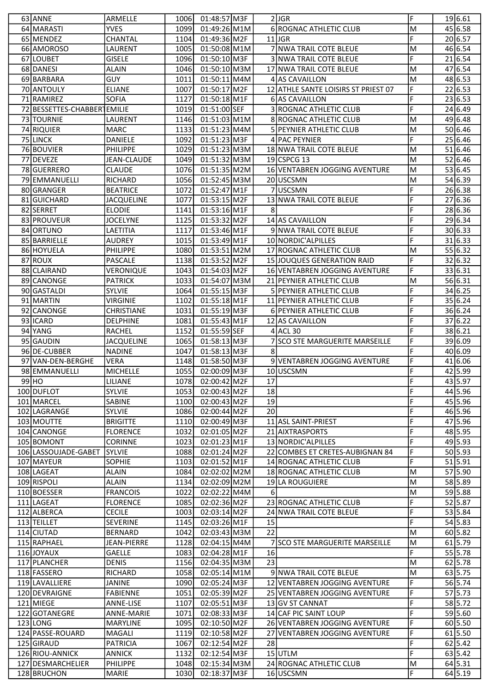|    | 63 ANNE                     | ARMELLE                 | 1006         | 01:48:57 M3F                 |          | $2$ JGR                             | F | 19 6.61              |
|----|-----------------------------|-------------------------|--------------|------------------------------|----------|-------------------------------------|---|----------------------|
|    | 64 MARASTI                  | <b>YVES</b>             | 1099         | 01:49:26 M1M                 |          | 6 ROGNAC ATHLETIC CLUB              | M | 45 6.58              |
|    | 65 MENDEZ                   | CHANTAL                 | 1104         | 01:49:36 M2F                 |          | $11$ JGR                            | F | 20 6.57              |
|    | 66 AMOROSO                  | LAURENT                 | 1005         | 01:50:08 M1M                 |          | 7 NWA TRAIL COTE BLEUE              | M | 46 6.54              |
| 67 | <b>ILOUBET</b>              | <b>GISELE</b>           | 1096         | 01:50:10 M3F                 |          | 3 NWA TRAIL COTE BLEUE              | F | $\overline{21 6.54}$ |
|    | 68 DANESI                   | ALAIN                   | 1046         | 01:50:10 M3M                 |          | 17 NWA TRAIL COTE BLEUE             | M | 47 6.54              |
|    | 69 BARBARA                  | <b>GUY</b>              | 1011         | 01:50:11 M4M                 |          | 4 AS CAVAILLON                      | M | 48 6.53              |
|    | 70 ANTOULY                  | <b>ELIANE</b>           | 1007         | 01:50:17 M2F                 |          | 12 ATHLE SANTE LOISIRS ST PRIEST 07 | F | 22 6.53              |
|    | 71 RAMIREZ                  | <b>SOFIA</b>            | 1127         | 01:50:18 M1F                 |          | 6 AS CAVAILLON                      | F | 23 6.53              |
|    | 72 BESSETTES-CHABBER EMILIE |                         | 1019         | 01:51:00 SEF                 |          | 3 ROGNAC ATHLETIC CLUB              | F | 24 6.49              |
|    | 73 TOURNIE                  | LAURENT                 | 1146         | 01:51:03 M1M                 |          | 8 ROGNAC ATHLETIC CLUB              | M | 49 6.48              |
|    | 74 RIQUIER                  | <b>MARC</b>             | 1133         | 01:51:23 M4M                 |          | 5 PEYNIER ATHLETIC CLUB             | M | 50 6.46              |
|    | 75 LINCK                    | <b>DANIELE</b>          | 1092         | 01:51:23 M3F                 |          | 4 PAC PEYNIER                       | F | 25 6.46              |
|    | 76 BOUVIER                  | <b>PHILIPPE</b>         | 1029         | 01:51:23 M3M                 |          | 18 NWA TRAIL COTE BLEUE             | M | 51 6.46              |
|    |                             |                         |              |                              |          | 19 CSPCG 13                         |   | 52 6.46              |
|    | 77 DEVEZE                   | <b>JEAN-CLAUDE</b>      | 1049         | 01:51:32 M3M                 |          |                                     | M |                      |
|    | 78 GUERRERO                 | <b>CLAUDE</b>           | 1076         | 01:51:35 M2M                 |          | 16 VENTABREN JOGGING AVENTURE       | M | 53 6.45              |
|    | 79 EMMANUELLI               | <b>RICHARD</b>          | 1056         | 01:52:45 M3M                 |          | 20 USCSMN                           | M | 54 6.39              |
|    | 80 GRANGER                  | <b>BEATRICE</b>         | 1072         | 01:52:47 M1F                 |          | 7USCSMN                             | F | 26 6.38              |
|    | 81 GUICHARD                 | <b>JACQUELINE</b>       | 1077         | 01:53:15 M2F                 |          | 13 NWA TRAIL COTE BLEUE             | F | 27 6.36              |
|    | 82 SERRET                   | <b>ELODIE</b>           | 1141         | 01:53:16 M1F                 | 8        |                                     | F | 28 6.36              |
|    | 83 PROUVEUR                 | <b>JOCELYNE</b>         | 1125         | 01:53:32 M2F                 |          | 14 AS CAVAILLON                     | F | 29 6.34              |
|    | 84 ORTUNO                   | LAETITIA                | 1117         | 01:53:46 M1F                 |          | 9 NWA TRAIL COTE BLEUE              | F | 30 6.33              |
|    | 85 BARRIELLE                | <b>AUDREY</b>           | 1015         | 01:53:49 M1F                 |          | 10 NORDIC' ALPILLES                 | F | 31 6.33              |
|    | 86 HOYUELA                  | <b>PHILIPPE</b>         | 1080         | 01:53:51 M2M                 |          | 17 ROGNAC ATHLETIC CLUB             | M | 55 6.32              |
|    | 87 ROUX                     | <b>PASCALE</b>          | 1138         | 01:53:52 M2F                 |          | 15 JOUQUES GENERATION RAID          | F | 32 6.32              |
| 88 | CLAIRAND                    | VERONIQUE               | 1043         | 01:54:03 M2F                 |          | 16 VENTABREN JOGGING AVENTURE       | F | 33 6.31              |
|    | 89 CANONGE                  | <b>PATRICK</b>          | 1033         | 01:54:07 M3M                 |          | 21 PEYNIER ATHLETIC CLUB            | M | 56 6.31              |
|    | 90 GASTALDI                 | <b>SYLVIE</b>           | 1064         | 01:55:15 M3F                 |          | 5 PEYNIER ATHLETIC CLUB             | F | 34 6.25              |
|    | 91 MARTIN                   | <b>VIRGINIE</b>         | 1102         | 01:55:18 M1F                 |          | 11 PEYNIER ATHLETIC CLUB            | F | 35 6.24              |
|    | 92 CANONGE                  | <b>CHRISTIANE</b>       | 1031         | 01:55:19 M3F                 |          | 6 PEYNIER ATHLETIC CLUB             | F | 36 6.24              |
|    | 93 ICARD                    | DELPHINE                | 1081         | 01:55:43 M1F                 |          | 12 AS CAVAILLON                     | F | 37 6.22              |
|    | 94 YANG                     | <b>RACHEL</b>           | 1152         | 01:55:59 SEF                 |          | $4$ ACL 30                          | F | 38 6.21              |
|    | 95 GAUDIN                   | <b>JACQUELINE</b>       | 1065         | 01:58:13 M3F                 |          | 7 SCO STE MARGUERITE MARSEILLE      | F | 39 6.09              |
|    | 96 DE-CUBBER                | <b>NADINE</b>           | 1047         | 01:58:13 M3F                 | 8        |                                     | F | 40 6.09              |
|    |                             |                         |              |                              |          |                                     |   |                      |
|    | 97 VAN-DEN-BERGHE           | <b>VERA</b>             | 1148         | 01:58:50 M3F                 |          | 9 VENTABREN JOGGING AVENTURE        | F | 41 6.06              |
|    | 98 EMMANUELLI               | <b>MICHELLE</b>         | 1055         | 02:00:09 M3F                 |          | 10 USCSMN                           | F | 42 5.99              |
|    |                             |                         |              |                              |          |                                     | F |                      |
|    | 99 HO                       | LILIANE                 | 1078<br>1053 | 02:00:42 M2F                 | 17<br>18 |                                     | F | 43 5.97              |
|    | 100 DUFLOT                  | <b>SYLVIE</b><br>SABINE | 1100         | 02:00:43 M2F<br>02:00:43 M2F | 19       |                                     | F | 44 5.96              |
|    | 101 MARCEL                  |                         |              |                              |          |                                     | F | 45 5.96              |
|    | 102 LAGRANGE                | <b>SYLVIE</b>           | 1086         | 02:00:44 M2F                 | 20       |                                     | F | 46 5.96              |
|    | 103 MOUTTE                  | <b>BRIGITTE</b>         | 1110         | 02:00:49 M3F                 |          | 11 ASL SAINT-PRIEST                 | F | 47 5.96              |
|    | 104 CANONGE                 | <b>FLORENCE</b>         | 1032         | 02:01:05 M2F                 |          | 21 AIXTRASPORTS                     |   | 48 5.95              |
|    | 105 BOMONT                  | <b>CORINNE</b>          | 1023         | 02:01:23 M1F                 |          | 13 NORDIC' ALPILLES                 | F | 49 5.93              |
|    | 106 LASSOUJADE-GABET        | <b>SYLVIE</b>           | 1088         | 02:01:24 M2F                 |          | 22 COMBES ET CRETES-AUBIGNAN 84     | F | 50 5.93              |
|    | 107 MAYEUR                  | <b>SOPHIE</b>           | 1103         | 02:01:52 M1F                 |          | 14 ROGNAC ATHLETIC CLUB             | F | 51 5.91              |
|    | 108 LAGEAT                  | ALAIN                   | 1084         | 02:02:02 M2M                 |          | 18 ROGNAC ATHLETIC CLUB             | M | 57 5.90              |
|    | 109 RISPOLI                 | <b>ALAIN</b>            | 1134         | 02:02:09 M2M                 |          | 19 LA ROUGUIERE                     | M | 58 5.89              |
|    | 110 BOESSER                 | <b>FRANCOIS</b>         | 1022         | 02:02:22 M4M                 | $6 \mid$ |                                     | M | 59 5.88              |
|    | 111 LAGEAT                  | <b>FLORENCE</b>         | 1085         | 02:02:36 M2F                 |          | 23 ROGNAC ATHLETIC CLUB             | F | 52 5.87              |
|    | 112 ALBERCA                 | <b>CECILE</b>           | 1003         | 02:03:14 M2F                 |          | 24 NWA TRAIL COTE BLEUE             | F | 53 5.84              |
|    | 113 TEILLET                 | SEVERINE                | 1145         | 02:03:26 M1F                 | 15       |                                     | F | 54 5.83              |
|    | 114 CIUTAD                  | <b>BERNARD</b>          | 1042         | 02:03:43 M3M                 | 22       |                                     | M | 60 5.82              |
|    | 115 RAPHAEL                 | <b>JEAN-PIERRE</b>      | 1128         | 02:04:15 M4M                 |          | 7 SCO STE MARGUERITE MARSEILLE      | M | 61 5.79              |
|    | 116JOYAUX                   | <b>GAELLE</b>           | 1083         | 02:04:28 M1F                 | 16       |                                     | F | 55 5.78              |
|    | 117 PLANCHER                | DENIS                   | 1156         | 02:04:35 M3M                 | 23       |                                     | M | 62 5.78              |
|    | 118 FASSERO                 | RICHARD                 | 1058         | 02:05:14 M1M                 |          | 9 NWA TRAIL COTE BLEUE              | M | 63 5.75              |
|    | 119 LAVALLIERE              | <b>JANINE</b>           | 1090         | 02:05:24 M3F                 |          | 12 VENTABREN JOGGING AVENTURE       | F | 56 5.74              |
|    | 120 DEVRAIGNE               | <b>FABIENNE</b>         | 1051         | 02:05:39 M2F                 |          | 25 VENTABREN JOGGING AVENTURE       | F | 57 5.73              |
|    | 121 MIEGE                   | ANNE-LISE               | 1107         | 02:05:51 M3F                 |          | 13 GV ST CANNAT                     | F | 58 5.72              |
|    | 122 GOTANEGRE               | <b>ANNE-MARIE</b>       | 1071         | 02:08:33 M3F                 |          | 14 CAF PIC SAINT LOUP               | F | 59 5.60              |
|    | $123$ LONG                  | <b>MARYLINE</b>         | 1095         | 02:10:50 M2F                 |          | 26 VENTABREN JOGGING AVENTURE       | F | 60 5.50              |
|    | 124 PASSE-ROUARD            | MAGALI                  | 1119         | 02:10:58 M2F                 |          | 27 VENTABREN JOGGING AVENTURE       | F | $61$ 5.50            |
|    | 125 GIRAUD                  | <b>PATRICIA</b>         | 1067         | 02:12:54 M2F                 | 28       |                                     | F | 62 5.42              |
|    | 126 RIOU-ANNICK             | <b>ANNICK</b>           | 1132         | 02:12:54 M3F                 |          | 15 UTLM                             | F | 63 5.42              |
|    | 127 DESMARCHELIER           | <b>PHILIPPE</b>         | 1048         | 02:15:34 M3M                 |          | 24 ROGNAC ATHLETIC CLUB             | M | 64 5.31              |